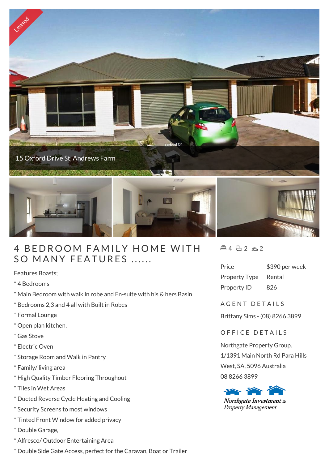

## 4 BEDROOM FAMILY HOME<br>SO MANY FEATURES ......

Features Boasts;

\* 4 Bedrooms

- \* Main Bedroom with walk in robe and En-suite with his & hers Basin
- \* Bedrooms 2,3 and 4 all with Built in Robes
- \* Formal Lounge
- \* Open plan kitchen,
- \* Gas Stove
- \* Electric Oven
- \* Storage Room and Walk in Pantry
- \* Family/ living area
- \* High Quality Timber Flooring Throughout
- \* Tiles in Wet Areas
- \* Ducted Reverse Cycle Heating and Cooling
- \* Security Screens to most windows
- \* Tinted Front Window for added privacy
- \* Double Garage,
- \* Alfresco/ Outdoor Entertaining Area
- \* Double Side Gate Access, perfect for the Caravan, Boat or Trailer

 $4 - 2 - 2$ 

| Price                | \$390 per week |
|----------------------|----------------|
| <b>Property Type</b> | Rental         |
| Property ID          | 826            |

A GENT DETAILS

Brittany Sims - (08) 8266 3899

## OFFICE DETAILS

Northgate Property Group. 1/1391 Main North Rd Para Hills West, SA, 5096 Australia 08 8266 3899